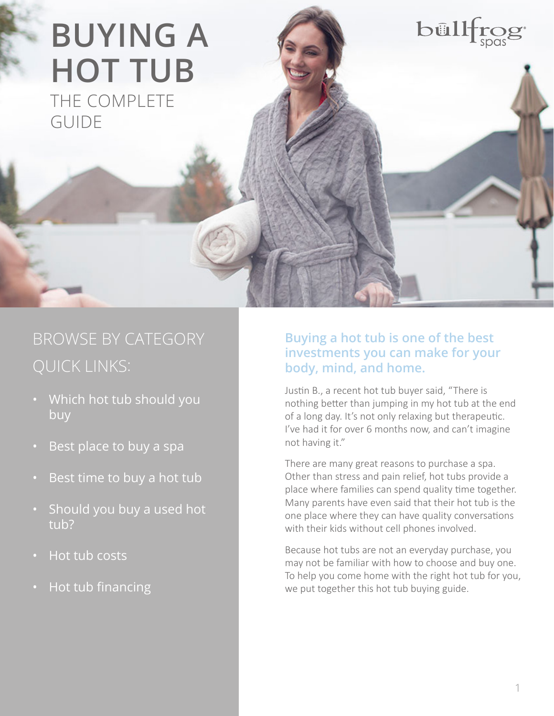## **BUYING A HOT TUB** THE COMPLETE GUIDE

### BROWSE BY CATEGORY QUICK LINKS:

- [Which hot tub should you](#page-1-0)  buy
- [Best place to buy a spa](#page-2-0)
- [Best time to buy a hot tub](#page-3-0)
- [Should you buy a used hot](#page-4-0)  tub?
- [Hot tub costs](#page-4-0)
- [Hot tub financing](#page-5-0)

#### **Buying a hot tub is one of the best investments you can make for your body, mind, and home.**

bull

Justin B., a recent hot tub buyer said, "There is nothing better than jumping in my hot tub at the end of a long day. It's not only relaxing but therapeutic. I've had it for over 6 months now, and can't imagine not having it."

There are many great reasons to purchase a spa. Other than stress and pain relief, hot tubs provide a place where families can spend quality time together. Many parents have even said that their hot tub is the one place where they can have quality conversations with their kids without cell phones involved.

Because hot tubs are not an everyday purchase, you may not be familiar with how to choose and buy one. To help you come home with the right hot tub for you, we put together this hot tub buying guide.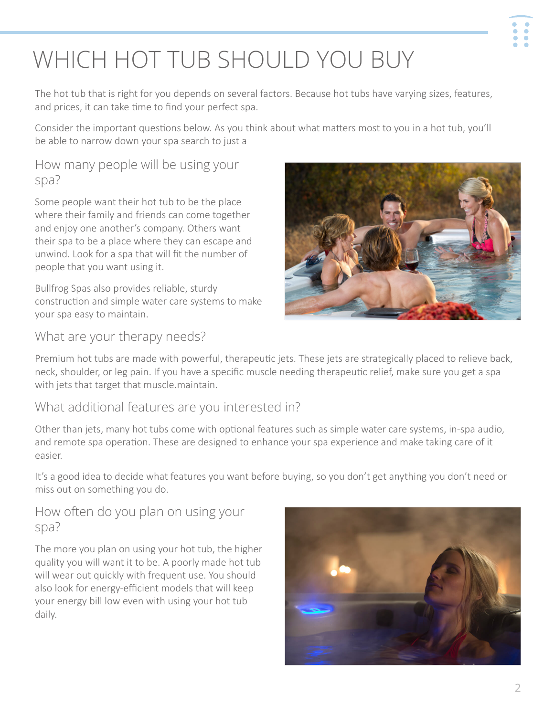

# <span id="page-1-0"></span>WHICH HOT TUB SHOULD YOU BUY

The hot tub that is right for you depends on several factors. Because hot tubs have varying sizes, features, and prices, it can take time to find your perfect spa.

Consider the important questions below. As you think about what matters most to you in a hot tub, you'll be able to narrow down your spa search to just a

#### How many people will be using your spa?

Some people want their hot tub to be the place where their family and friends can come together and enjoy one another's company. Others want their spa to be a place where they can escape and unwind. Look for a spa that will fit the number of people that you want using it.

Bullfrog Spas also provides reliable, sturdy construction and simple water care systems to make your spa easy to maintain.

### What are your therapy needs?



Premium hot tubs are made with powerful, therapeutic jets. These jets are strategically placed to relieve back, neck, shoulder, or leg pain. If you have a specific muscle needing therapeutic relief, make sure you get a spa with jets that target that muscle.maintain.

#### What additional features are you interested in?

Other than jets, many hot tubs come with optional features such as simple water care systems, in-spa audio, and remote spa operation. These are designed to enhance your spa experience and make taking care of it easier.

It's a good idea to decide what features you want before buying, so you don't get anything you don't need or miss out on something you do.

#### How often do you plan on using your spa?

The more you plan on using your hot tub, the higher quality you will want it to be. A poorly made hot tub will wear out quickly with frequent use. You should also look for energy-efficient models that will keep your energy bill low even with using your hot tub daily.

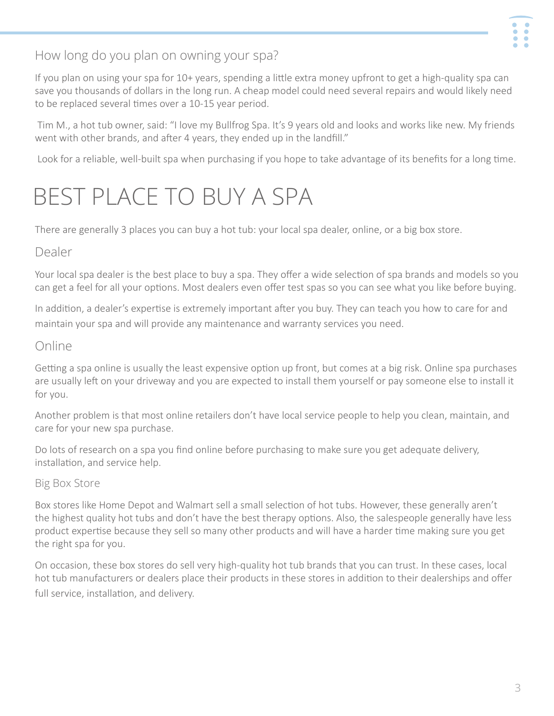

#### <span id="page-2-0"></span>How long do you plan on owning your spa?

If you plan on using your spa for 10+ years, spending a little extra money upfront to get a high-quality spa can save you thousands of dollars in the long run. A cheap model could need several repairs and would likely need to be replaced several times over a 10-15 year period.

 Tim M., a hot tub owner, said: "I love my Bullfrog Spa. It's 9 years old and looks and works like new. My friends went with other brands, and after 4 years, they ended up in the landfill."

Look for a reliable, well-built spa when purchasing if you hope to take advantage of its benefits for a long time.

## BEST PLACE TO BUY A SPA

There are generally 3 places you can buy a hot tub: your local spa dealer, online, or a big box store.

#### Dealer

Your local spa dealer is the best place to buy a spa. They offer a wide selection of spa brands and models so you can get a feel for all your options. Most dealers even offer test spas so you can see what you like before buying.

In addition, a dealer's expertise is extremely important after you buy. They can teach you how to care for and maintain your spa and will provide any maintenance and warranty services you need.

#### Online

Getting a spa online is usually the least expensive option up front, but comes at a big risk. Online spa purchases are usually left on your driveway and you are expected to install them yourself or pay someone else to install it for you.

Another problem is that most online retailers don't have local service people to help you clean, maintain, and care for your new spa purchase.

Do lots of research on a spa you find online before purchasing to make sure you get adequate delivery, installation, and service help.

#### Big Box Store

Box stores like Home Depot and Walmart sell a small selection of hot tubs. However, these generally aren't the highest quality hot tubs and don't have the best therapy options. Also, the salespeople generally have less product expertise because they sell so many other products and will have a harder time making sure you get the right spa for you.

On occasion, these box stores do sell very high-quality hot tub brands that you can trust. In these cases, local hot tub manufacturers or dealers place their products in these stores in addition to their dealerships and offer full service, installation, and delivery.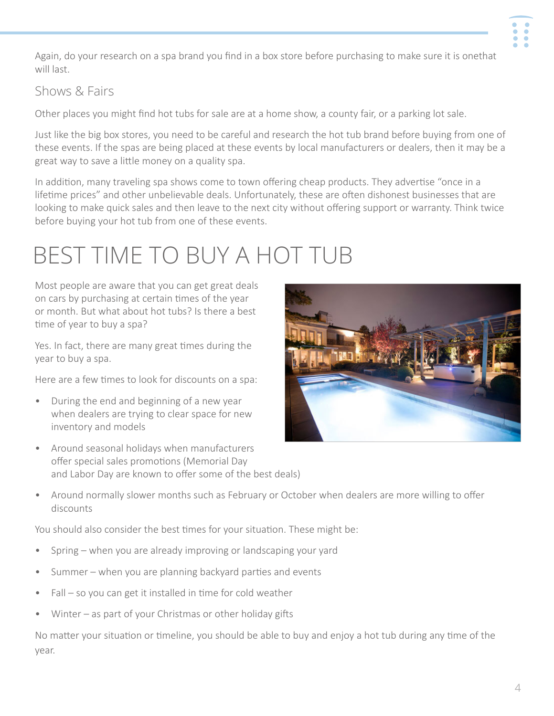<span id="page-3-0"></span>Again, do your research on a spa brand you find in a box store before purchasing to make sure it is onethat will last.

#### Shows & Fairs

Other places you might find hot tubs for sale are at a home show, a county fair, or a parking lot sale.

Just like the big box stores, you need to be careful and research the hot tub brand before buying from one of these events. If the spas are being placed at these events by local manufacturers or dealers, then it may be a great way to save a little money on a quality spa.

In addition, many traveling spa shows come to town offering cheap products. They advertise "once in a lifetime prices" and other unbelievable deals. Unfortunately, these are often dishonest businesses that are looking to make quick sales and then leave to the next city without offering support or warranty. Think twice before buying your hot tub from one of these events.

# BEST TIME TO BUY A HOT TUB

Most people are aware that you can get great deals on cars by purchasing at certain times of the year or month. But what about hot tubs? Is there a best time of year to buy a spa?

Yes. In fact, there are many great times during the year to buy a spa.

Here are a few times to look for discounts on a spa:

- During the end and beginning of a new year when dealers are trying to clear space for new inventory and models
- Around seasonal holidays when manufacturers offer special sales promotions (Memorial Day and Labor Day are known to offer some of the best deals)
- Around normally slower months such as February or October when dealers are more willing to offer discounts

You should also consider the best times for your situation. These might be:

- Spring when you are already improving or landscaping your yard
- Summer when you are planning backyard parties and events
- Fall so you can get it installed in time for cold weather
- Winter  $-$  as part of your Christmas or other holiday gifts

No matter your situation or timeline, you should be able to buy and enjoy a hot tub during any time of the year.



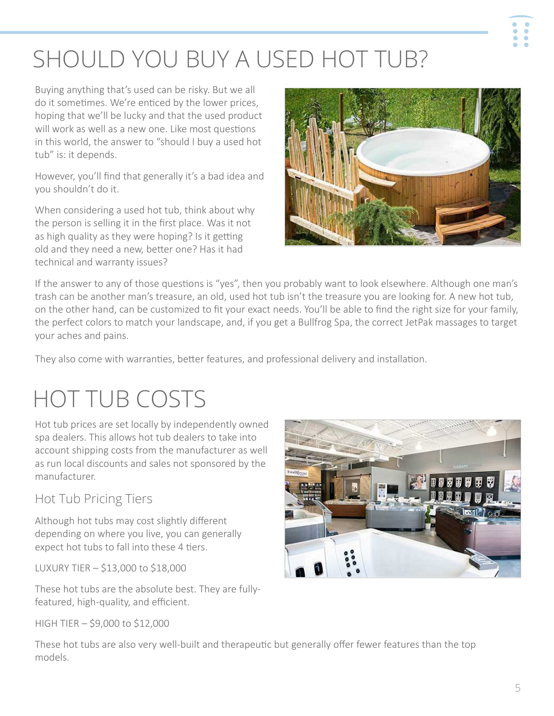

# <span id="page-4-0"></span>SHOULD YOU BUY A USED HOT TUB?

Buying anything that's used can be risky. But we all do it sometimes. We're enticed by the lower prices, hoping that we'll be lucky and that the used product will work as well as a new one. Like most questions in this world, the answer to "should I buy a used hot tub" is: it depends.

However, you'll find that generally it's a bad idea and you shouldn't do it.

When considering a used hot tub, think about why the person is selling it in the first place. Was it not as high quality as they were hoping? Is it getting old and they need a new, better one? Has it had technical and warranty issues?



If the answer to any of those questions is "yes", then you probably want to look elsewhere. Although one man's trash can be another man's treasure, an old, used hot tub isn't the treasure you are looking for. A new hot tub, on the other hand, can be customized to fit your exact needs. You'll be able to find the right size for your family, the perfect colors to match your landscape, and, if you get a Bullfrog Spa, the correct JetPak massages to target your aches and pains.

They also come with warranties, better features, and professional delivery and installation.

### HOT TUB COSTS

Hot tub prices are set locally by independently owned spa dealers. This allows hot tub dealers to take into account shipping costs from the manufacturer as well as run local discounts and sales not sponsored by the manufacturer.

Hot Tub Pricing Tiers

Although hot tubs may cost slightly different depending on where you live, you can generally expect hot tubs to fall into these 4 tiers.

LUXURY TIER – \$13,000 to \$18,000

These hot tubs are the absolute best. They are fullyfeatured, high-quality, and efficient.

HIGH TIER – \$9,000 to \$12,000

These hot tubs are also very well-built and therapeutic but generally offer fewer features than the top models.